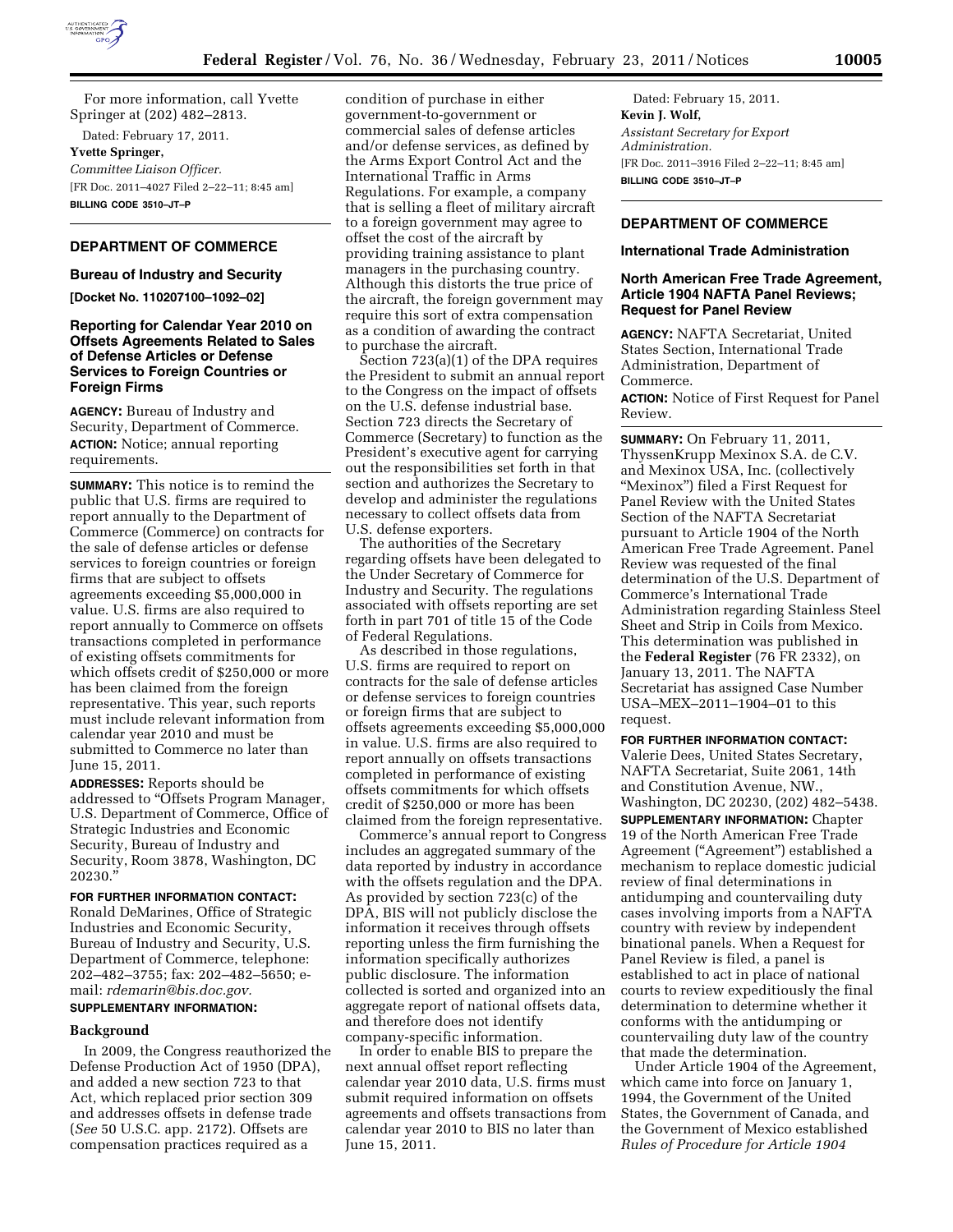

For more information, call Yvette Springer at (202) 482–2813.

Dated: February 17, 2011. **Yvette Springer,**  *Committee Liaison Officer.*  [FR Doc. 2011–4027 Filed 2–22–11; 8:45 am] **BILLING CODE 3510–JT–P** 

## **DEPARTMENT OF COMMERCE**

## **Bureau of Industry and Security**

**[Docket No. 110207100–1092–02]** 

## **Reporting for Calendar Year 2010 on Offsets Agreements Related to Sales of Defense Articles or Defense Services to Foreign Countries or Foreign Firms**

**AGENCY:** Bureau of Industry and Security, Department of Commerce. **ACTION:** Notice; annual reporting requirements.

**SUMMARY:** This notice is to remind the public that U.S. firms are required to report annually to the Department of Commerce (Commerce) on contracts for the sale of defense articles or defense services to foreign countries or foreign firms that are subject to offsets agreements exceeding \$5,000,000 in value. U.S. firms are also required to report annually to Commerce on offsets transactions completed in performance of existing offsets commitments for which offsets credit of \$250,000 or more has been claimed from the foreign representative. This year, such reports must include relevant information from calendar year 2010 and must be submitted to Commerce no later than June 15, 2011.

**ADDRESSES:** Reports should be addressed to ''Offsets Program Manager, U.S. Department of Commerce, Office of Strategic Industries and Economic Security, Bureau of Industry and Security, Room 3878, Washington, DC 20230.''

## **FOR FURTHER INFORMATION CONTACT:**

Ronald DeMarines, Office of Strategic Industries and Economic Security, Bureau of Industry and Security, U.S. Department of Commerce, telephone: 202–482–3755; fax: 202–482–5650; email: *[rdemarin@bis.doc.gov.](mailto:rdemarin@bis.doc.gov)* 

# **SUPPLEMENTARY INFORMATION:**

#### **Background**

In 2009, the Congress reauthorized the Defense Production Act of 1950 (DPA), and added a new section 723 to that Act, which replaced prior section 309 and addresses offsets in defense trade (*See* 50 U.S.C. app. 2172). Offsets are compensation practices required as a

condition of purchase in either government-to-government or commercial sales of defense articles and/or defense services, as defined by the Arms Export Control Act and the International Traffic in Arms Regulations. For example, a company that is selling a fleet of military aircraft to a foreign government may agree to offset the cost of the aircraft by providing training assistance to plant managers in the purchasing country. Although this distorts the true price of the aircraft, the foreign government may require this sort of extra compensation as a condition of awarding the contract to purchase the aircraft.

Section 723(a)(1) of the DPA requires the President to submit an annual report to the Congress on the impact of offsets on the U.S. defense industrial base. Section 723 directs the Secretary of Commerce (Secretary) to function as the President's executive agent for carrying out the responsibilities set forth in that section and authorizes the Secretary to develop and administer the regulations necessary to collect offsets data from U.S. defense exporters.

The authorities of the Secretary regarding offsets have been delegated to the Under Secretary of Commerce for Industry and Security. The regulations associated with offsets reporting are set forth in part 701 of title 15 of the Code of Federal Regulations.

As described in those regulations, U.S. firms are required to report on contracts for the sale of defense articles or defense services to foreign countries or foreign firms that are subject to offsets agreements exceeding \$5,000,000 in value. U.S. firms are also required to report annually on offsets transactions completed in performance of existing offsets commitments for which offsets credit of \$250,000 or more has been claimed from the foreign representative.

Commerce's annual report to Congress includes an aggregated summary of the data reported by industry in accordance with the offsets regulation and the DPA. As provided by section 723(c) of the DPA, BIS will not publicly disclose the information it receives through offsets reporting unless the firm furnishing the information specifically authorizes public disclosure. The information collected is sorted and organized into an aggregate report of national offsets data, and therefore does not identify company-specific information.

In order to enable BIS to prepare the next annual offset report reflecting calendar year 2010 data, U.S. firms must submit required information on offsets agreements and offsets transactions from calendar year 2010 to BIS no later than June 15, 2011.

Dated: February 15, 2011. **Kevin J. Wolf,**  *Assistant Secretary for Export Administration.*  [FR Doc. 2011–3916 Filed 2–22–11; 8:45 am] **BILLING CODE 3510–JT–P** 

## **DEPARTMENT OF COMMERCE**

#### **International Trade Administration**

### **North American Free Trade Agreement, Article 1904 NAFTA Panel Reviews; Request for Panel Review**

**AGENCY:** NAFTA Secretariat, United States Section, International Trade Administration, Department of Commerce.

**ACTION:** Notice of First Request for Panel Review.

**SUMMARY:** On February 11, 2011, ThyssenKrupp Mexinox S.A. de C.V. and Mexinox USA, Inc. (collectively ''Mexinox'') filed a First Request for Panel Review with the United States Section of the NAFTA Secretariat pursuant to Article 1904 of the North American Free Trade Agreement. Panel Review was requested of the final determination of the U.S. Department of Commerce's International Trade Administration regarding Stainless Steel Sheet and Strip in Coils from Mexico. This determination was published in the **Federal Register** (76 FR 2332), on January 13, 2011. The NAFTA Secretariat has assigned Case Number USA–MEX–2011–1904–01 to this request.

## **FOR FURTHER INFORMATION CONTACT:**

Valerie Dees, United States Secretary, NAFTA Secretariat, Suite 2061, 14th and Constitution Avenue, NW., Washington, DC 20230, (202) 482–5438.

**SUPPLEMENTARY INFORMATION:** Chapter 19 of the North American Free Trade Agreement (''Agreement'') established a mechanism to replace domestic judicial review of final determinations in antidumping and countervailing duty cases involving imports from a NAFTA country with review by independent binational panels. When a Request for Panel Review is filed, a panel is established to act in place of national courts to review expeditiously the final determination to determine whether it conforms with the antidumping or countervailing duty law of the country that made the determination.

Under Article 1904 of the Agreement, which came into force on January 1, 1994, the Government of the United States, the Government of Canada, and the Government of Mexico established *Rules of Procedure for Article 1904*